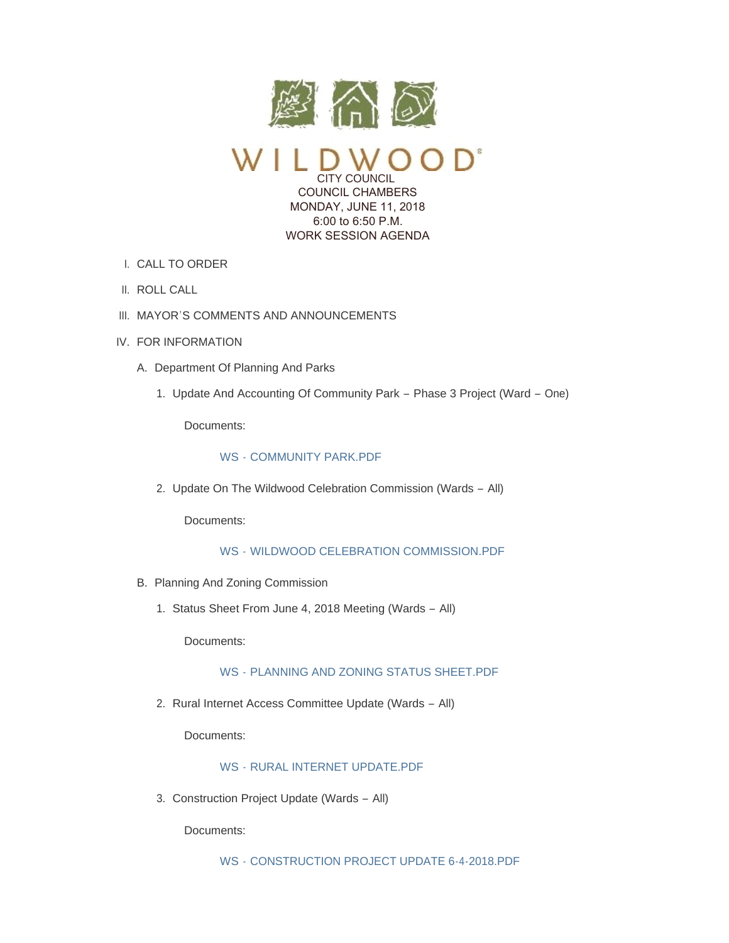

CITY COUNCIL COUNCIL CHAMBERS MONDAY, JUNE 11, 2018 6:00 to 6:50 P.M. WORK SESSION AGENDA

- CALL TO ORDER I.
- II. ROLL CALL
- III. MAYOR'S COMMENTS AND ANNOUNCEMENTS
- IV. FOR INFORMATION
	- A. Department Of Planning And Parks
		- 1. Update And Accounting Of Community Park Phase 3 Project (Ward One)

Documents:

### WS - [COMMUNITY PARK.PDF](https://www.cityofwildwood.com/AgendaCenter/ViewFile/Item/15538?fileID=23355)

2. Update On The Wildwood Celebration Commission (Wards - All)

Documents:

WS - [WILDWOOD CELEBRATION COMMISSION.PDF](https://www.cityofwildwood.com/AgendaCenter/ViewFile/Item/15539?fileID=23356)

- B. Planning And Zoning Commission
	- 1. Status Sheet From June 4, 2018 Meeting (Wards All)

Documents:

## WS - [PLANNING AND ZONING STATUS SHEET.PDF](https://www.cityofwildwood.com/AgendaCenter/ViewFile/Item/15541?fileID=23357)

2. Rural Internet Access Committee Update (Wards - All)

Documents:

# WS - [RURAL INTERNET UPDATE.PDF](https://www.cityofwildwood.com/AgendaCenter/ViewFile/Item/15542?fileID=23358)

3. Construction Project Update (Wards - All)

Documents: